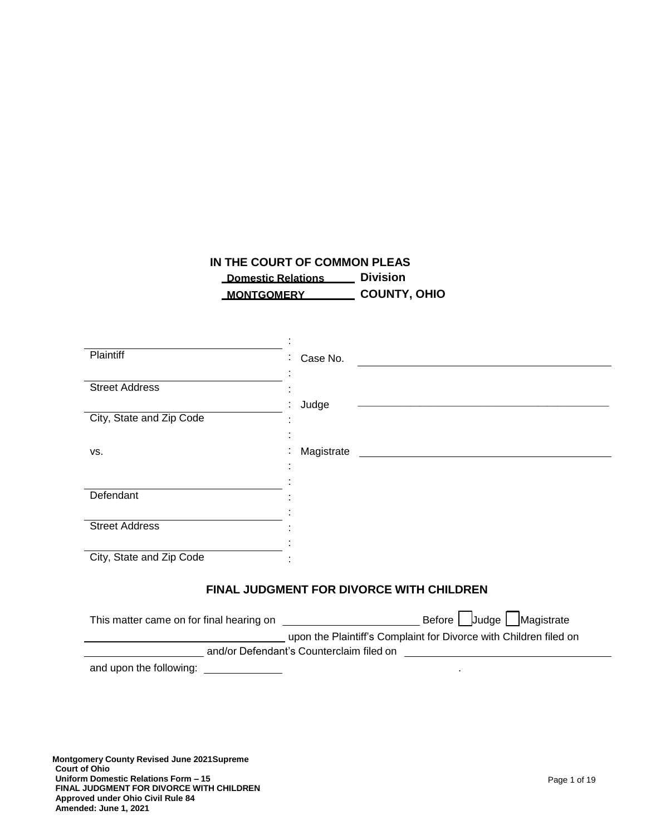# **IN THE COURT OF COMMON PLEAS Domestic Relations Division MONTGOMERY COUNTY, OHIO**

| <b>Plaintiff</b>                                | Case No.                                                                  |  |  |
|-------------------------------------------------|---------------------------------------------------------------------------|--|--|
| <b>Street Address</b>                           |                                                                           |  |  |
|                                                 | Judge<br><u> 1989 - Johann John Stein, Amerikaansk politiker (* 1958)</u> |  |  |
| City, State and Zip Code                        |                                                                           |  |  |
| VS.                                             | Magistrate                                                                |  |  |
|                                                 |                                                                           |  |  |
| Defendant                                       |                                                                           |  |  |
|                                                 |                                                                           |  |  |
| <b>Street Address</b>                           |                                                                           |  |  |
| City, State and Zip Code                        |                                                                           |  |  |
| <b>FINAL JUDGMENT FOR DIVORCE WITH CHILDREN</b> |                                                                           |  |  |
|                                                 |                                                                           |  |  |
|                                                 | upon the Plaintiff's Complaint for Divorce with Children filed on         |  |  |
| and/or Defendant's Counterclaim filed on        |                                                                           |  |  |
| and upon the following:                         |                                                                           |  |  |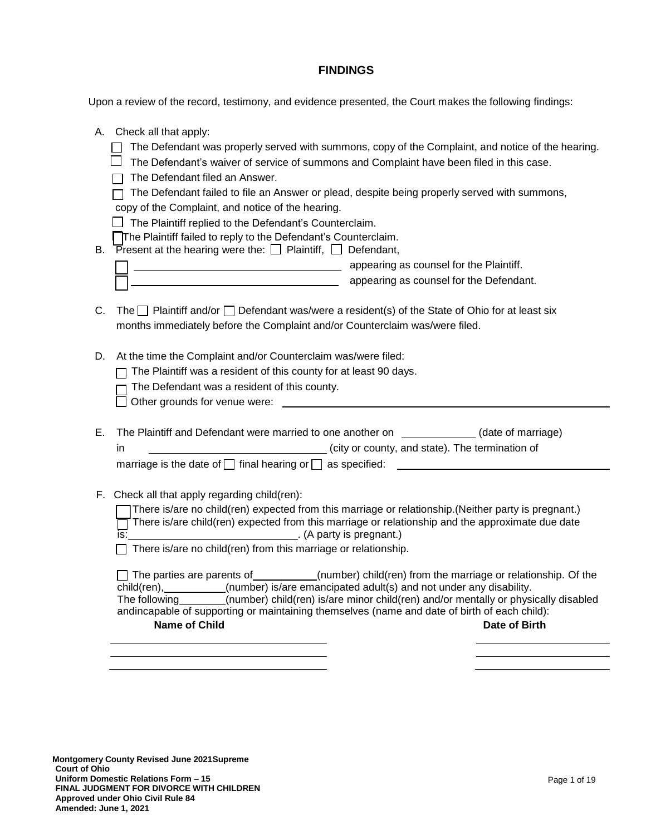# **FINDINGS**

Upon a review of the record, testimony, and evidence presented, the Court makes the following findings:

|    | A. Check all that apply:<br>The Defendant was properly served with summons, copy of the Complaint, and notice of the hearing.<br>The Defendant's waiver of service of summons and Complaint have been filed in this case.<br>The Defendant filed an Answer.<br>The Defendant failed to file an Answer or plead, despite being properly served with summons,<br>copy of the Complaint, and notice of the hearing.<br>The Plaintiff replied to the Defendant's Counterclaim.<br>The Plaintiff failed to reply to the Defendant's Counterclaim.                        |
|----|---------------------------------------------------------------------------------------------------------------------------------------------------------------------------------------------------------------------------------------------------------------------------------------------------------------------------------------------------------------------------------------------------------------------------------------------------------------------------------------------------------------------------------------------------------------------|
|    | B. Present at the hearing were the: $\Box$ Plaintiff, $\Box$ Defendant,<br>appearing as counsel for the Plaintiff.<br>appearing as counsel for the Defendant.                                                                                                                                                                                                                                                                                                                                                                                                       |
| C. | The $\Box$ Plaintiff and/or $\Box$ Defendant was/were a resident(s) of the State of Ohio for at least six<br>months immediately before the Complaint and/or Counterclaim was/were filed.                                                                                                                                                                                                                                                                                                                                                                            |
| D. | At the time the Complaint and/or Counterclaim was/were filed:<br>The Plaintiff was a resident of this county for at least 90 days.<br>The Defendant was a resident of this county.                                                                                                                                                                                                                                                                                                                                                                                  |
| Е. | The Plaintiff and Defendant were married to one another on _____________(date of marriage)<br>city or county, and state). The termination of<br>in.<br>marriage is the date of $\Box$ final hearing or $\Box$ as specified:                                                                                                                                                                                                                                                                                                                                         |
|    | F. Check all that apply regarding child(ren):<br>There is/are no child(ren) expected from this marriage or relationship.(Neither party is pregnant.)<br>There is/are child(ren) expected from this marriage or relationship and the approximate due date<br>(A party is pregnant.)<br>is:<br>There is/are no child(ren) from this marriage or relationship.<br>$\Box$ The parties are parents of __________(number) child(ren) from the marriage or relationship. Of the<br>child(ren), _________(number) is/are emancipated adult(s) and not under any disability. |
|    | The following (number) child(ren) is/are minor child(ren) and/or mentally or physically disabled<br>andincapable of supporting or maintaining themselves (name and date of birth of each child):<br><b>Name of Child</b><br>Date of Birth                                                                                                                                                                                                                                                                                                                           |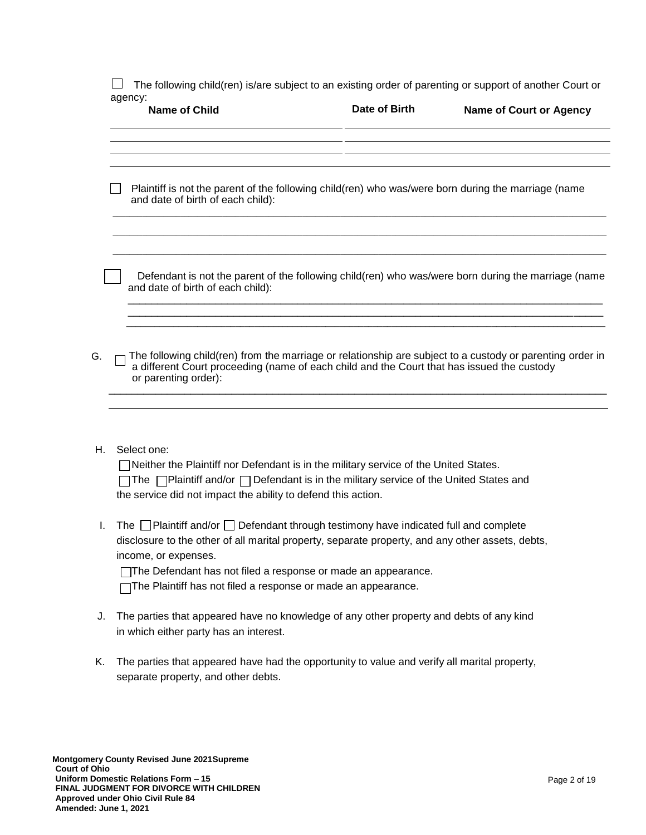$\Box$  The following child(ren) is/are subject to an existing order of parenting or support of another Court or agency:

|    | agency:<br><b>Name of Child</b>                                                                                                                                                                                                                                                                                                                               | Date of Birth | <b>Name of Court or Agency</b> |
|----|---------------------------------------------------------------------------------------------------------------------------------------------------------------------------------------------------------------------------------------------------------------------------------------------------------------------------------------------------------------|---------------|--------------------------------|
|    | Plaintiff is not the parent of the following child(ren) who was/were born during the marriage (name<br>and date of birth of each child):                                                                                                                                                                                                                      |               |                                |
|    |                                                                                                                                                                                                                                                                                                                                                               |               |                                |
|    | Defendant is not the parent of the following child(ren) who was/were born during the marriage (name<br>and date of birth of each child):                                                                                                                                                                                                                      |               |                                |
| G. | The following child(ren) from the marriage or relationship are subject to a custody or parenting order in<br>a different Court proceeding (name of each child and the Court that has issued the custody<br>or parenting order):                                                                                                                               |               |                                |
| Н. | Select one:<br>TNeither the Plaintiff nor Defendant is in the military service of the United States.<br>$\Box$ The $\Box$ Plaintiff and/or $\Box$ Defendant is in the military service of the United States and<br>the service did not impact the ability to defend this action.                                                                              |               |                                |
| L. | The $\Box$ Plaintiff and/or $\Box$ Defendant through testimony have indicated full and complete<br>disclosure to the other of all marital property, separate property, and any other assets, debts,<br>income, or expenses.<br>The Defendant has not filed a response or made an appearance.<br>The Plaintiff has not filed a response or made an appearance. |               |                                |
| J. | The parties that appeared have no knowledge of any other property and debts of any kind<br>in which either party has an interest.                                                                                                                                                                                                                             |               |                                |

K. The parties that appeared have had the opportunity to value and verify all marital property, separate property, and other debts.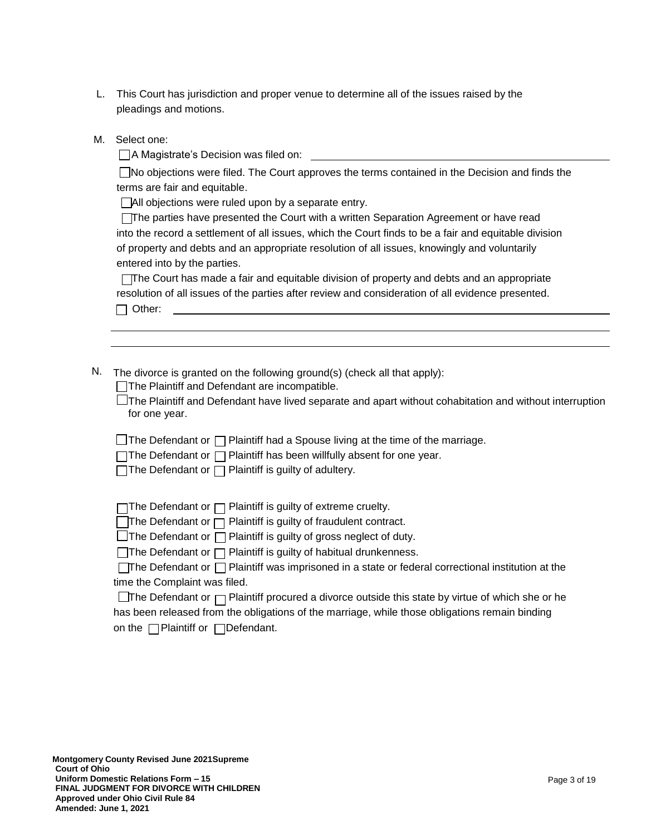| This Court has jurisdiction and proper venue to determine all of the issues raised by the |
|-------------------------------------------------------------------------------------------|
| pleadings and motions.                                                                    |

M. Select one:

A Magistrate's Decision was filed on:

No objections were filed. The Court approves the terms contained in the Decision and finds the terms are fair and equitable.

All objections were ruled upon by a separate entry.

The parties have presented the Court with a written Separation Agreement or have read into the record a settlement of all issues, which the Court finds to be a fair and equitable division of property and debts and an appropriate resolution of all issues, knowingly and voluntarily entered into by the parties.

The Court has made a fair and equitable division of property and debts and an appropriate resolution of all issues of the parties after review and consideration of all evidence presented. □ Other:

N. The divorce is granted on the following ground(s) (check all that apply):

The Plaintiff and Defendant are incompatible.

 $\Box$ The Plaintiff and Defendant have lived separate and apart without cohabitation and without interruption for one year.

 $\Box$  The Defendant or  $\Box$  Plaintiff had a Spouse living at the time of the marriage.

 $\Box$ The Defendant or  $\Box$  Plaintiff has been willfully absent for one year.

 $\Box$  The Defendant or  $\Box$  Plaintiff is guilty of adultery.

 $\Box$ The Defendant or  $\Box$  Plaintiff is guilty of extreme cruelty.

 $\Box$ The Defendant or  $\Box$  Plaintiff is guilty of fraudulent contract.

 $\Box$ The Defendant or  $\Box$  Plaintiff is guilty of gross neglect of duty.

 $\Box$ The Defendant or  $\Box$  Plaintiff is guilty of habitual drunkenness.

| <b>The Defendant or □ Plaintiff was imprisoned in a state or federal correctional institution at the</b> |  |
|----------------------------------------------------------------------------------------------------------|--|
| time the Complaint was filed.                                                                            |  |

The Defendant or  $\Box$  Plaintiff procured a divorce outside this state by virtue of which she or he has been released from the obligations of the marriage, while those obligations remain binding on the  $\Box$  Plaintiff or  $\Box$  Defendant.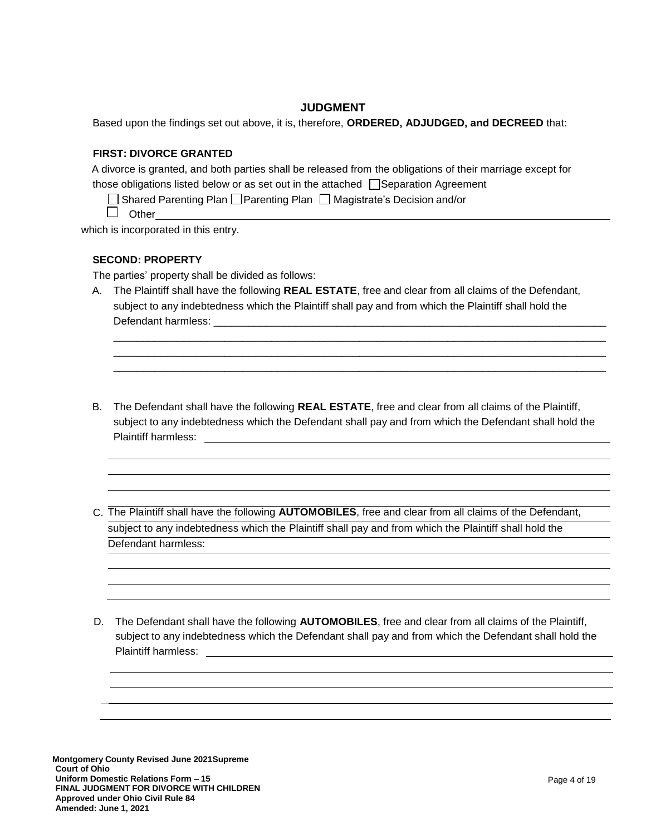### **JUDGMENT**

Based upon the findings set out above, it is, therefore, **ORDERED, ADJUDGED, and DECREED** that:

### **FIRST: DIVORCE GRANTED**

A divorce is granted, and both parties shall be released from the obligations of their marriage except for those obligations listed below or as set out in the attached  $\Box$  Separation Agreement

 $\Box$  Shared Parenting Plan  $\Box$  Parenting Plan  $\Box$  Magistrate's Decision and/or

 $\Box$  Other

which is incorporated in this entry.

### **SECOND: PROPERTY**

The parties' property shall be divided as follows:

A. The Plaintiff shall have the following **REAL ESTATE**, free and clear from all claims of the Defendant, subject to any indebtedness which the Plaintiff shall pay and from which the Plaintiff shall hold the Defendant harmless: \_

\_\_\_\_\_\_\_\_\_\_\_\_\_\_\_\_\_\_\_\_\_\_\_\_\_\_\_\_\_\_\_\_\_\_\_\_\_\_\_\_\_\_\_\_\_\_\_\_\_\_\_\_\_\_\_\_\_\_\_\_\_\_\_\_\_\_\_\_\_\_\_\_\_\_\_\_\_\_\_\_\_\_\_\_ \_\_\_\_\_\_\_\_\_\_\_\_\_\_\_\_\_\_\_\_\_\_\_\_\_\_\_\_\_\_\_\_\_\_\_\_\_\_\_\_\_\_\_\_\_\_\_\_\_\_\_\_\_\_\_\_\_\_\_\_\_\_\_\_\_\_\_\_\_\_\_\_\_\_\_\_\_\_\_\_\_\_\_\_ \_\_\_\_\_\_\_\_\_\_\_\_\_\_\_\_\_\_\_\_\_\_\_\_\_\_\_\_\_\_\_\_\_\_\_\_\_\_\_\_\_\_\_\_\_\_\_\_\_\_\_\_\_\_\_\_\_\_\_\_\_\_\_\_\_\_\_\_\_\_\_\_\_\_\_\_\_\_\_\_\_\_\_\_

- B. The Defendant shall have the following **REAL ESTATE**, free and clear from all claims of the Plaintiff, subject to any indebtedness which the Defendant shall pay and from which the Defendant shall hold the Plaintiff harmless:
- C. The Plaintiff shall have the following **AUTOMOBILES**, free and clear from all claims of the Defendant, subject to any indebtedness which the Plaintiff shall pay and from which the Plaintiff shall hold the Defendant harmless:
- D. The Defendant shall have the following **AUTOMOBILES**, free and clear from all claims of the Plaintiff, subject to any indebtedness which the Defendant shall pay and from which the Defendant shall hold the Plaintiff harmless: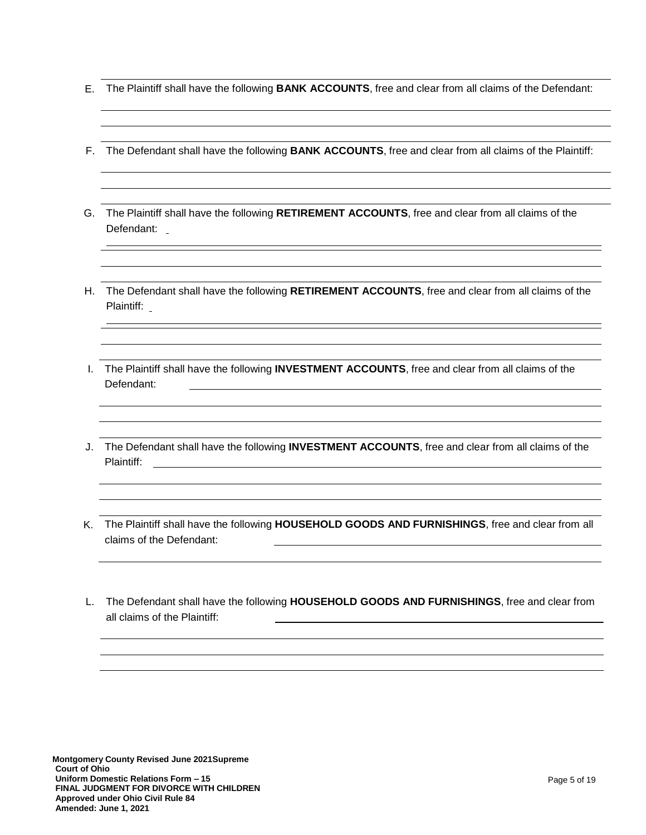- E. The Plaintiff shall have the following **BANK ACCOUNTS**, free and clear from all claims of the Defendant:
- F. The Defendant shall have the following **BANK ACCOUNTS**, free and clear from all claims of the Plaintiff:
- G. The Plaintiff shall have the following **RETIREMENT ACCOUNTS**, free and clear from all claims of the Defendant:
- H. The Defendant shall have the following **RETIREMENT ACCOUNTS**, free and clear from all claims of the Plaintiff:
- I. The Plaintiff shall have the following **INVESTMENT ACCOUNTS**, free and clear from all claims of the Defendant:
- J. The Defendant shall have the following **INVESTMENT ACCOUNTS**, free and clear from all claims of the Plaintiff: \_\_\_\_\_\_\_\_\_\_
- K. The Plaintiff shall have the following **HOUSEHOLD GOODS AND FURNISHINGS**, free and clear from all claims of the Defendant:
- L. The Defendant shall have the following **HOUSEHOLD GOODS AND FURNISHINGS**, free and clear from all claims of the Plaintiff: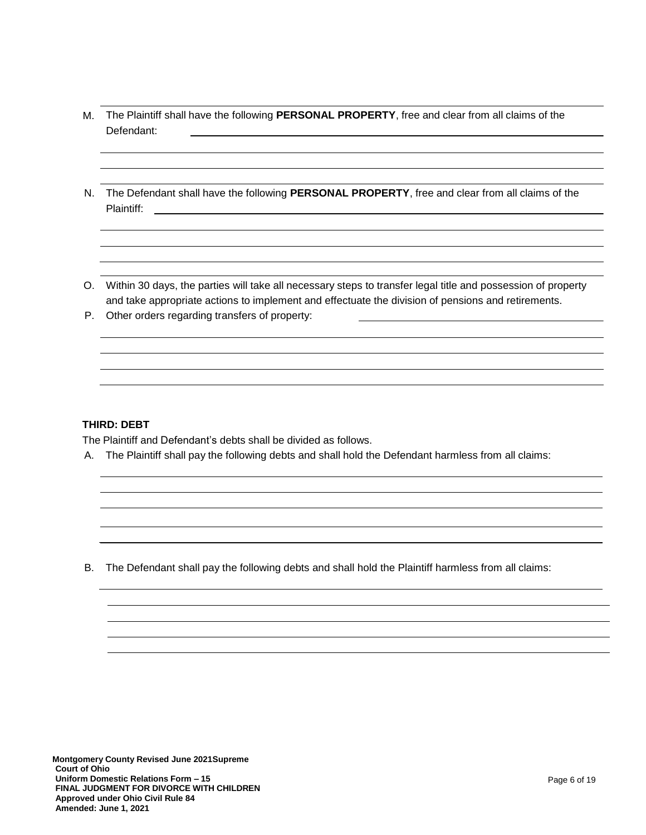- M. The Plaintiff shall have the following **PERSONAL PROPERTY**, free and clear from all claims of the Defendant:
- N. The Defendant shall have the following **PERSONAL PROPERTY**, free and clear from all claims of the Plaintiff:
- O. Within 30 days, the parties will take all necessary steps to transfer legal title and possession of property and take appropriate actions to implement and effectuate the division of pensions and retirements.
- P. Other orders regarding transfers of property:

### **THIRD: DEBT**

The Plaintiff and Defendant's debts shall be divided as follows.

A. The Plaintiff shall pay the following debts and shall hold the Defendant harmless from all claims:

B. The Defendant shall pay the following debts and shall hold the Plaintiff harmless from all claims: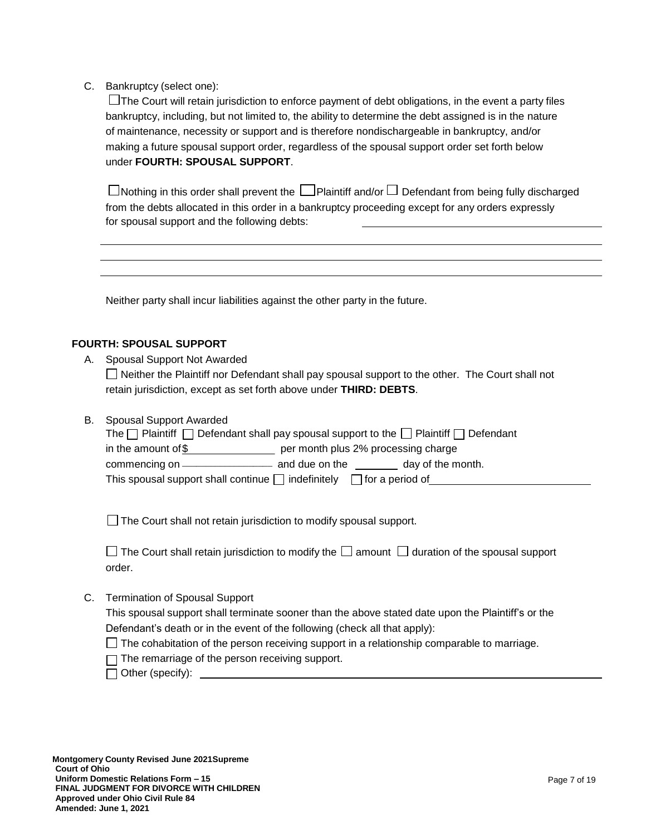C. Bankruptcy (select one):

 $\Box$  The Court will retain jurisdiction to enforce payment of debt obligations, in the event a party files bankruptcy, including, but not limited to, the ability to determine the debt assigned is in the nature of maintenance, necessity or support and is therefore nondischargeable in bankruptcy, and/or making a future spousal support order, regardless of the spousal support order set forth below under **FOURTH: SPOUSAL SUPPORT**.

 $\Box$  Nothing in this order shall prevent the  $\Box$  Plaintiff and/or  $\Box$  Defendant from being fully discharged from the debts allocated in this order in a bankruptcy proceeding except for any orders expressly for spousal support and the following debts:

Neither party shall incur liabilities against the other party in the future.

### **FOURTH: SPOUSAL SUPPORT**

A. Spousal Support Not Awarded

 $\Box$  Neither the Plaintiff nor Defendant shall pay spousal support to the other. The Court shall not retain jurisdiction, except as set forth above under **THIRD: DEBTS**.

| <b>B.</b> Spousal Support Awarded                                                                        |
|----------------------------------------------------------------------------------------------------------|
| The $\Box$ Plaintiff $\Box$ Defendant shall pay spousal support to the $\Box$ Plaintiff $\Box$ Defendant |
| in the amount of \$<br>per month plus 2% processing charge                                               |
| day of the month.                                                                                        |
| This spousal support shall continue $\Box$ indefinitely $\Box$ for a period of                           |

 $\Box$  The Court shall not retain jurisdiction to modify spousal support.

| $\Box$ The Court shall retain jurisdiction to modify the $\Box$ amount $\Box$ duration of the spousal support |  |  |
|---------------------------------------------------------------------------------------------------------------|--|--|
| order.                                                                                                        |  |  |

C. Termination of Spousal Support

This spousal support shall terminate sooner than the above stated date upon the Plaintiff's or the Defendant's death or in the event of the following (check all that apply):

- $\Box$  The cohabitation of the person receiving support in a relationship comparable to marriage.
- $\Box$  The remarriage of the person receiving support.
- $\Box$  Other (specify):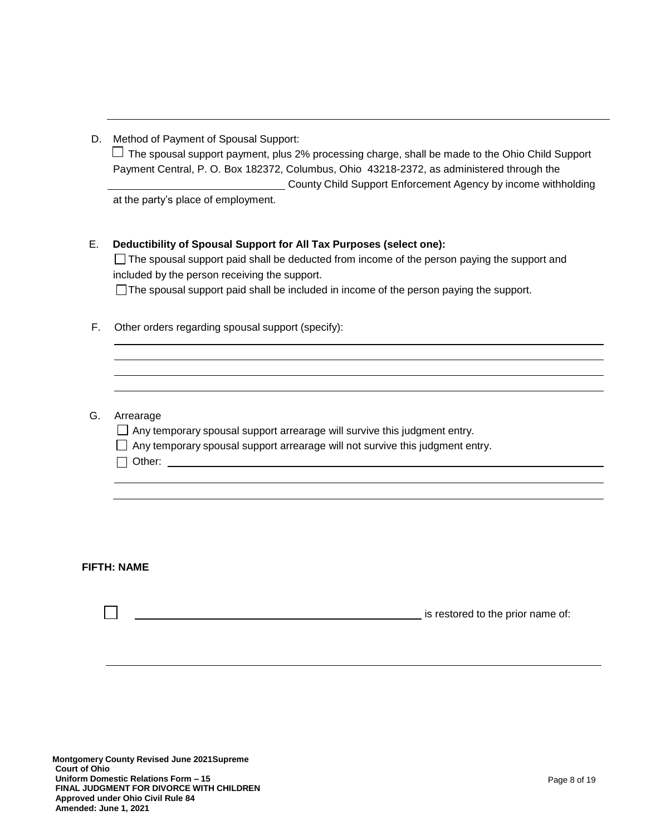| D. | Method of Payment of Spousal Support: |
|----|---------------------------------------|
|    |                                       |

 $\Box$  The spousal support payment, plus 2% processing charge, shall be made to the Ohio Child Support Payment Central, P. O. Box 182372, Columbus, Ohio 43218-2372, as administered through the County Child Support Enforcement Agency by income withholding

at the party's place of employment.

### E. **Deductibility of Spousal Support for All Tax Purposes (select one):**

 $\Box$  The spousal support paid shall be deducted from income of the person paying the support and included by the person receiving the support.

The spousal support paid shall be included in income of the person paying the support.

- F. Other orders regarding spousal support (specify):
- G. Arrearage

 $\Box$  Any temporary spousal support arrearage will survive this judgment entry.

- $\Box$  Any temporary spousal support arrearage will not survive this judgment entry.
- $\Box$  Other:

### **FIFTH: NAME**

**is restored to the prior name of:**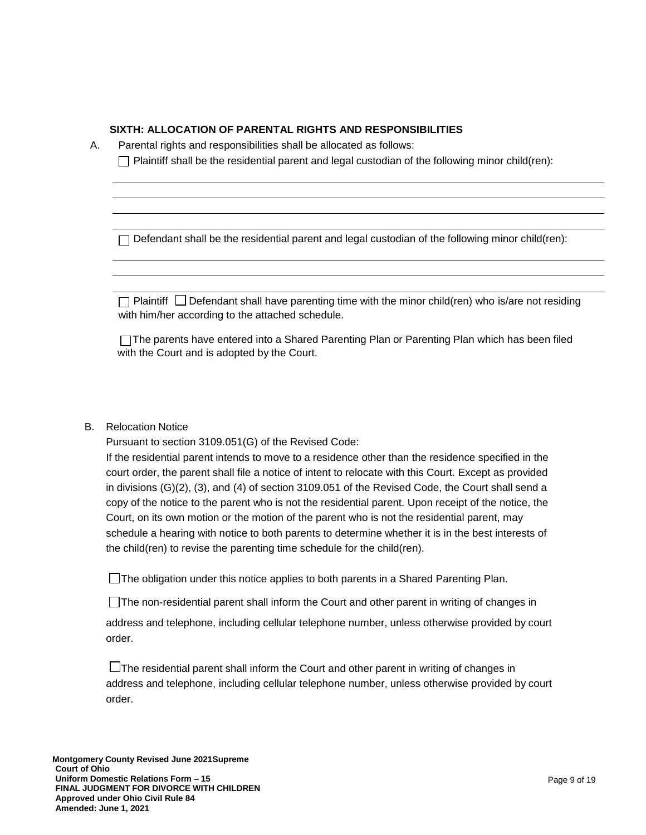### **SIXTH: ALLOCATION OF PARENTAL RIGHTS AND RESPONSIBILITIES**

| А. | Parental rights and responsibilities shall be allocated as follows:                                                                                           |
|----|---------------------------------------------------------------------------------------------------------------------------------------------------------------|
|    | Plaintiff shall be the residential parent and legal custodian of the following minor child(ren):                                                              |
|    |                                                                                                                                                               |
|    |                                                                                                                                                               |
|    |                                                                                                                                                               |
|    |                                                                                                                                                               |
|    | Defendant shall be the residential parent and legal custodian of the following minor child(ren):                                                              |
|    |                                                                                                                                                               |
|    |                                                                                                                                                               |
|    | Defendant shall have parenting time with the minor child(ren) who is/are not residing<br>Plaintiff $\Box$<br>with him/her according to the attached schedule. |
|    | □ The parents have entered into a Shared Parenting Plan or Parenting Plan which has been filed<br>with the Court and is adopted by the Court.                 |
|    |                                                                                                                                                               |
|    |                                                                                                                                                               |
|    |                                                                                                                                                               |
| B. | <b>Relocation Notice</b>                                                                                                                                      |
|    | Pursuant to section 3109.051(G) of the Revised Code:                                                                                                          |
|    | If the residential parent intends to move to a residence other than the residence specified in the                                                            |
|    |                                                                                                                                                               |

court order, the parent shall file a notice of intent to relocate with this Court. Except as provided in divisions (G)(2), (3), and (4) of section 3109.051 of the Revised Code, the Court shall send a copy of the notice to the parent who is not the residential parent. Upon receipt of the notice, the Court, on its own motion or the motion of the parent who is not the residential parent, may schedule a hearing with notice to both parents to determine whether it is in the best interests of the child(ren) to revise the parenting time schedule for the child(ren).

The obligation under this notice applies to both parents in a Shared Parenting Plan.

The non-residential parent shall inform the Court and other parent in writing of changes in

address and telephone, including cellular telephone number, unless otherwise provided by court order.

 $\square$  The residential parent shall inform the Court and other parent in writing of changes in address and telephone, including cellular telephone number, unless otherwise provided by court order.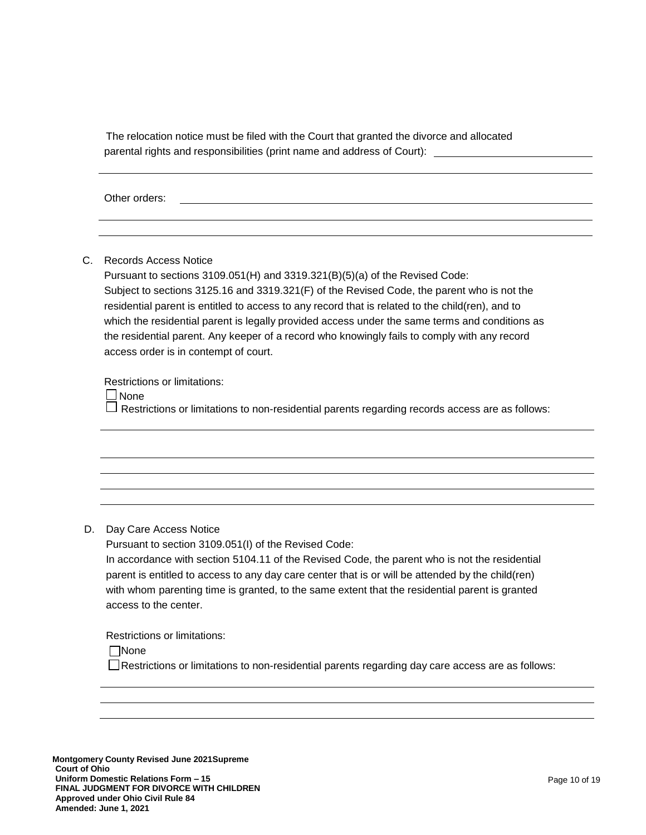The relocation notice must be filed with the Court that granted the divorce and allocated parental rights and responsibilities (print name and address of Court):

Other orders:

C. Records Access Notice

Pursuant to sections 3109.051(H) and 3319.321(B)(5)(a) of the Revised Code: Subject to sections 3125.16 and 3319.321(F) of the Revised Code, the parent who is not the residential parent is entitled to access to any record that is related to the child(ren), and to which the residential parent is legally provided access under the same terms and conditions as the residential parent. Any keeper of a record who knowingly fails to comply with any record access order is in contempt of court.

Restrictions or limitations:

□ None

 $\Box$  Restrictions or limitations to non-residential parents regarding records access are as follows:

### D. Day Care Access Notice

Pursuant to section 3109.051(I) of the Revised Code:

In accordance with section 5104.11 of the Revised Code, the parent who is not the residential parent is entitled to access to any day care center that is or will be attended by the child(ren) with whom parenting time is granted, to the same extent that the residential parent is granted access to the center.

Restrictions or limitations:

None

 $\Box$ Restrictions or limitations to non-residential parents regarding day care access are as follows: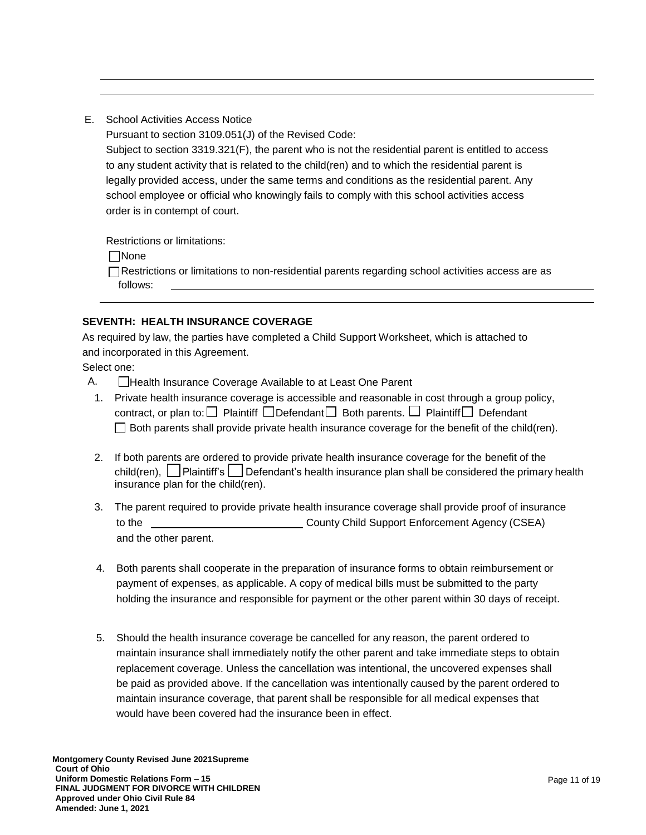E. School Activities Access Notice

Pursuant to section 3109.051(J) of the Revised Code:

Subject to section 3319.321(F), the parent who is not the residential parent is entitled to access to any student activity that is related to the child(ren) and to which the residential parent is legally provided access, under the same terms and conditions as the residential parent. Any school employee or official who knowingly fails to comply with this school activities access order is in contempt of court.

Restrictions or limitations:

None

Restrictions or limitations to non-residential parents regarding school activities access are as follows:

## **SEVENTH: HEALTH INSURANCE COVERAGE**

As required by law, the parties have completed a Child Support Worksheet, which is attached to and incorporated in this Agreement.

Select one:

- A. **Health Insurance Coverage Available to at Least One Parent**
- 1. Private health insurance coverage is accessible and reasonable in cost through a group policy, contract, or plan to:  $\Box$  Plaintiff  $\Box$  Defendant  $\Box$  Both parents.  $\Box$  Plaintiff  $\Box$  Defendant  $\Box$  Both parents shall provide private health insurance coverage for the benefit of the child(ren).
- 2. If both parents are ordered to provide private health insurance coverage for the benefit of the child(ren), Plaintiff's Defendant's health insurance plan shall be considered the primary health insurance plan for the child(ren).
- 3. The parent required to provide private health insurance coverage shall provide proof of insurance to the County Child Support Enforcement Agency (CSEA) and the other parent.
- 4. Both parents shall cooperate in the preparation of insurance forms to obtain reimbursement or payment of expenses, as applicable. A copy of medical bills must be submitted to the party holding the insurance and responsible for payment or the other parent within 30 days of receipt.
- 5. Should the health insurance coverage be cancelled for any reason, the parent ordered to maintain insurance shall immediately notify the other parent and take immediate steps to obtain replacement coverage. Unless the cancellation was intentional, the uncovered expenses shall be paid as provided above. If the cancellation was intentionally caused by the parent ordered to maintain insurance coverage, that parent shall be responsible for all medical expenses that would have been covered had the insurance been in effect.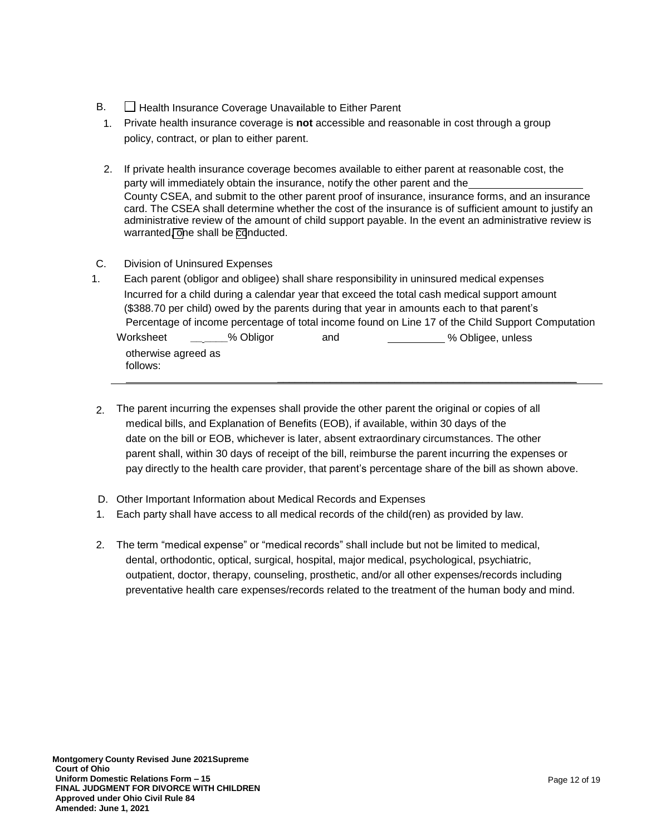- B.  $\Box$  Health Insurance Coverage Unavailable to Either Parent
- 1. Private health insurance coverage is **not** accessible and reasonable in cost through a group policy, contract, or plan to either parent.
- 2. If private health insurance coverage becomes available to either parent at reasonable cost, the party will immediately obtain the insurance, notify the other parent and the County CSEA, and submit to the other parent proof of insurance, insurance forms, and an insurance card. The CSEA shall determine whether the cost of the insurance is of sufficient amount to justify an administrative review of the amount of child support payable. In the event an administrative review is warranted, one shall be conducted.
- C. Division of Uninsured Expenses
- 1. Each parent (obligor and obligee) shall share responsibility in uninsured medical expenses Incurred for a child during a calendar year that exceed the total cash medical support amount (\$388.70 per child) owed by the parents during that year in amounts each to that parent's Percentage of income percentage of total income found on Line 17 of the Child Support Computation Worksheet **\_\_ \_\_\_\_**% Obligor and % Obligee, unless otherwise agreed as follows: \_\_\_\_\_\_\_\_\_\_\_\_\_\_\_\_\_\_\_\_\_\_\_\_\_\_\_\_\_\_\_\_\_\_\_\_\_\_\_\_\_\_\_\_\_\_\_\_\_\_\_
- 2. The parent incurring the expenses shall provide the other parent the original or copies of all medical bills, and Explanation of Benefits (EOB), if available, within 30 days of the date on the bill or EOB, whichever is later, absent extraordinary circumstances. The other parent shall, within 30 days of receipt of the bill, reimburse the parent incurring the expenses or pay directly to the health care provider, that parent's percentage share of the bill as shown above.
- D. Other Important Information about Medical Records and Expenses
- 1. Each party shall have access to all medical records of the child(ren) as provided by law.
- 2. The term "medical expense" or "medical records" shall include but not be limited to medical, dental, orthodontic, optical, surgical, hospital, major medical, psychological, psychiatric, outpatient, doctor, therapy, counseling, prosthetic, and/or all other expenses/records including preventative health care expenses/records related to the treatment of the human body and mind.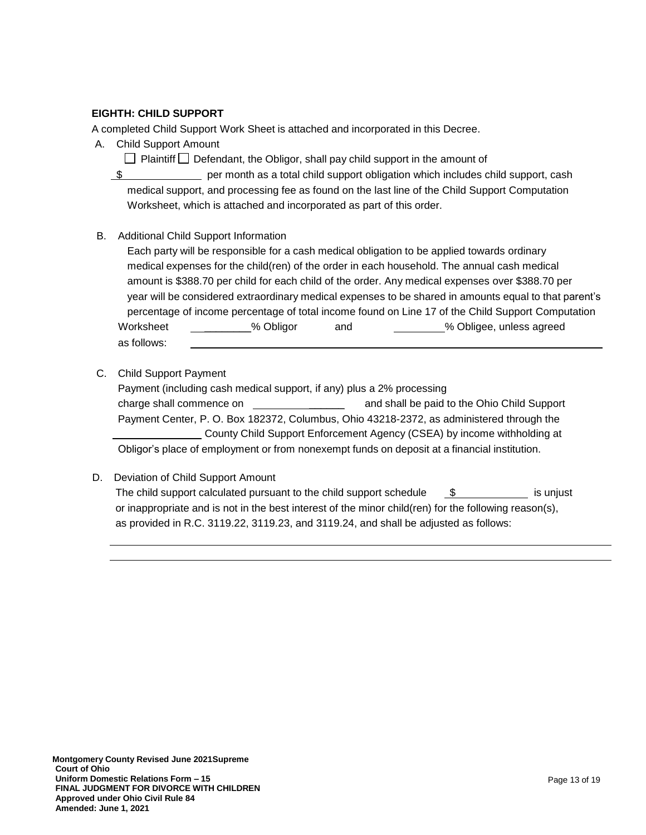### **EIGHTH: CHILD SUPPORT**

A completed Child Support Work Sheet is attached and incorporated in this Decree.

A. Child Support Amount

Plaintiff Defendant, the Obligor, shall pay child support in the amount of

 $\frac{1}{3}$  per month as a total child support obligation which includes child support, cash medical support, and processing fee as found on the last line of the Child Support Computation Worksheet, which is attached and incorporated as part of this order.

B. Additional Child Support Information

Each party will be responsible for a cash medical obligation to be applied towards ordinary medical expenses for the child(ren) of the order in each household. The annual cash medical amount is \$388.70 per child for each child of the order. Any medical expenses over \$388.70 per year will be considered extraordinary medical expenses to be shared in amounts equal to that parent's percentage of income percentage of total income found on Line 17 of the Child Support Computation Worksheet  $\sim$  % Obligor and  $\sim$  % Obligee, unless agreed as follows:

C. Child Support Payment

Payment (including cash medical support, if any) plus a 2% processing charge shall commence on \_\_\_\_\_\_ and shall be paid to the Ohio Child Support Payment Center, P. O. Box 182372, Columbus, Ohio 43218-2372, as administered through the County Child Support Enforcement Agency (CSEA) by income withholding at Obligor's place of employment or from nonexempt funds on deposit at a financial institution.

D. Deviation of Child Support Amount

The child support calculated pursuant to the child support schedule  $\$\$  is unjust or inappropriate and is not in the best interest of the minor child(ren) for the following reason(s), as provided in R.C. 3119.22, 3119.23, and 3119.24, and shall be adjusted as follows: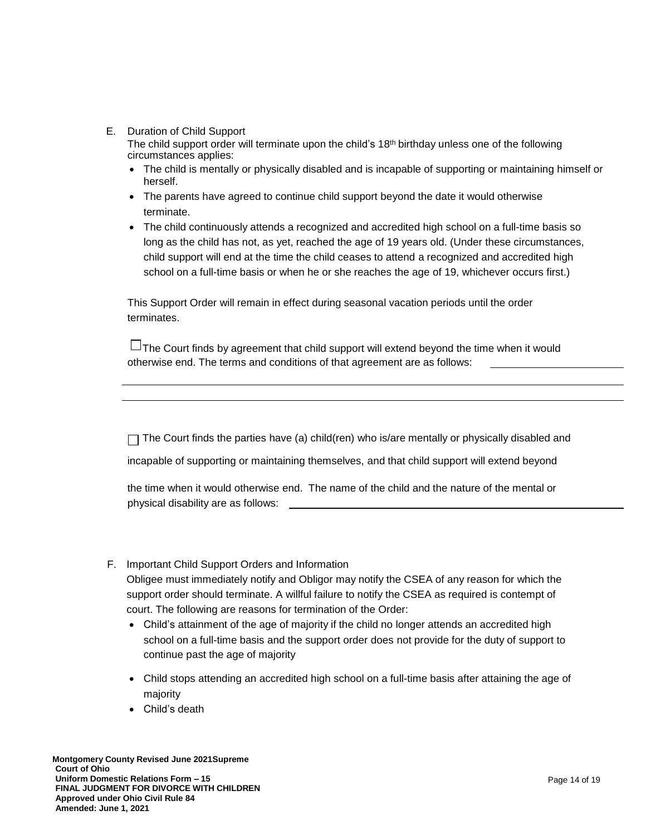### E. Duration of Child Support

The child support order will terminate upon the child's 18th birthday unless one of the following circumstances applies:

- The child is mentally or physically disabled and is incapable of supporting or maintaining himself or herself.
- The parents have agreed to continue child support beyond the date it would otherwise terminate.
- The child continuously attends a recognized and accredited high school on a full-time basis so long as the child has not, as yet, reached the age of 19 years old. (Under these circumstances, child support will end at the time the child ceases to attend a recognized and accredited high school on a full-time basis or when he or she reaches the age of 19, whichever occurs first.)

This Support Order will remain in effect during seasonal vacation periods until the order terminates.

 $\Box$  The Court finds by agreement that child support will extend beyond the time when it would otherwise end. The terms and conditions of that agreement are as follows:

 $\Box$  The Court finds the parties have (a) child(ren) who is/are mentally or physically disabled and

incapable of supporting or maintaining themselves, and that child support will extend beyond

the time when it would otherwise end. The name of the child and the nature of the mental or physical disability are as follows:

F. Important Child Support Orders and Information

Obligee must immediately notify and Obligor may notify the CSEA of any reason for which the support order should terminate. A willful failure to notify the CSEA as required is contempt of court. The following are reasons for termination of the Order:

- Child's attainment of the age of majority if the child no longer attends an accredited high school on a full-time basis and the support order does not provide for the duty of support to continue past the age of majority
- Child stops attending an accredited high school on a full-time basis after attaining the age of majority
- Child's death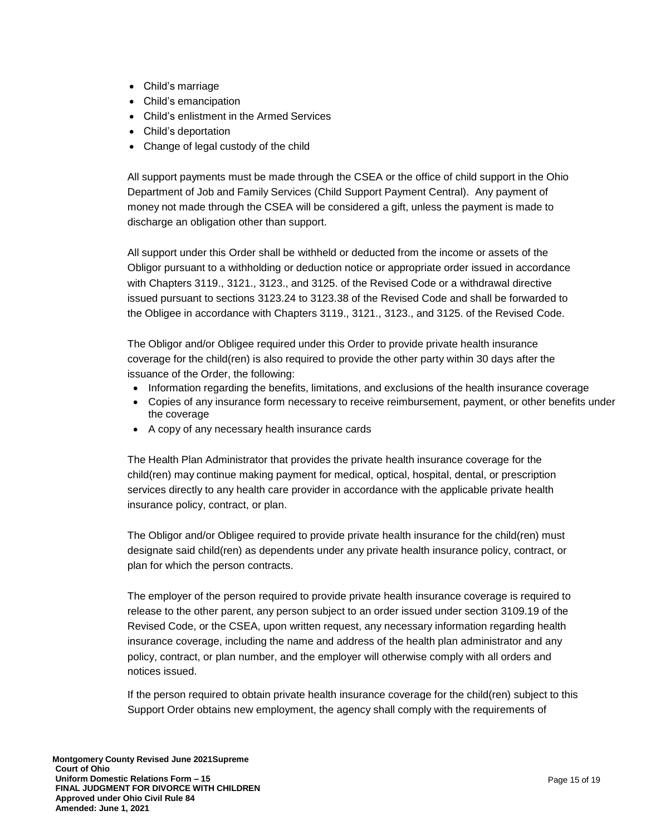- Child's marriage
- Child's emancipation
- Child's enlistment in the Armed Services
- Child's deportation
- Change of legal custody of the child

All support payments must be made through the CSEA or the office of child support in the Ohio Department of Job and Family Services (Child Support Payment Central). Any payment of money not made through the CSEA will be considered a gift, unless the payment is made to discharge an obligation other than support.

All support under this Order shall be withheld or deducted from the income or assets of the Obligor pursuant to a withholding or deduction notice or appropriate order issued in accordance with Chapters 3119., 3121., 3123., and 3125. of the Revised Code or a withdrawal directive issued pursuant to sections 3123.24 to 3123.38 of the Revised Code and shall be forwarded to the Obligee in accordance with Chapters 3119., 3121., 3123., and 3125. of the Revised Code.

The Obligor and/or Obligee required under this Order to provide private health insurance coverage for the child(ren) is also required to provide the other party within 30 days after the issuance of the Order, the following:

- Information regarding the benefits, limitations, and exclusions of the health insurance coverage
- Copies of any insurance form necessary to receive reimbursement, payment, or other benefits under the coverage
- A copy of any necessary health insurance cards

The Health Plan Administrator that provides the private health insurance coverage for the child(ren) may continue making payment for medical, optical, hospital, dental, or prescription services directly to any health care provider in accordance with the applicable private health insurance policy, contract, or plan.

The Obligor and/or Obligee required to provide private health insurance for the child(ren) must designate said child(ren) as dependents under any private health insurance policy, contract, or plan for which the person contracts.

The employer of the person required to provide private health insurance coverage is required to release to the other parent, any person subject to an order issued under section 3109.19 of the Revised Code, or the CSEA, upon written request, any necessary information regarding health insurance coverage, including the name and address of the health plan administrator and any policy, contract, or plan number, and the employer will otherwise comply with all orders and notices issued.

If the person required to obtain private health insurance coverage for the child(ren) subject to this Support Order obtains new employment, the agency shall comply with the requirements of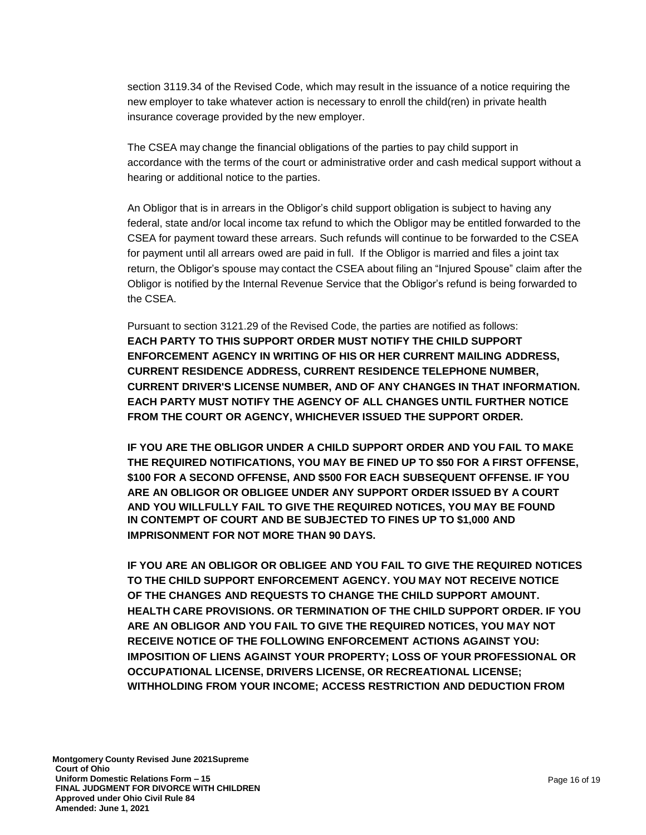section 3119.34 of the Revised Code, which may result in the issuance of a notice requiring the new employer to take whatever action is necessary to enroll the child(ren) in private health insurance coverage provided by the new employer.

The CSEA may change the financial obligations of the parties to pay child support in accordance with the terms of the court or administrative order and cash medical support without a hearing or additional notice to the parties.

An Obligor that is in arrears in the Obligor's child support obligation is subject to having any federal, state and/or local income tax refund to which the Obligor may be entitled forwarded to the CSEA for payment toward these arrears. Such refunds will continue to be forwarded to the CSEA for payment until all arrears owed are paid in full. If the Obligor is married and files a joint tax return, the Obligor's spouse may contact the CSEA about filing an "Injured Spouse" claim after the Obligor is notified by the Internal Revenue Service that the Obligor's refund is being forwarded to the CSEA.

Pursuant to section 3121.29 of the Revised Code, the parties are notified as follows: **EACH PARTY TO THIS SUPPORT ORDER MUST NOTIFY THE CHILD SUPPORT ENFORCEMENT AGENCY IN WRITING OF HIS OR HER CURRENT MAILING ADDRESS, CURRENT RESIDENCE ADDRESS, CURRENT RESIDENCE TELEPHONE NUMBER, CURRENT DRIVER'S LICENSE NUMBER, AND OF ANY CHANGES IN THAT INFORMATION. EACH PARTY MUST NOTIFY THE AGENCY OF ALL CHANGES UNTIL FURTHER NOTICE FROM THE COURT OR AGENCY, WHICHEVER ISSUED THE SUPPORT ORDER.**

**IF YOU ARE THE OBLIGOR UNDER A CHILD SUPPORT ORDER AND YOU FAIL TO MAKE THE REQUIRED NOTIFICATIONS, YOU MAY BE FINED UP TO \$50 FOR A FIRST OFFENSE, \$100 FOR A SECOND OFFENSE, AND \$500 FOR EACH SUBSEQUENT OFFENSE. IF YOU ARE AN OBLIGOR OR OBLIGEE UNDER ANY SUPPORT ORDER ISSUED BY A COURT AND YOU WILLFULLY FAIL TO GIVE THE REQUIRED NOTICES, YOU MAY BE FOUND IN CONTEMPT OF COURT AND BE SUBJECTED TO FINES UP TO \$1,000 AND IMPRISONMENT FOR NOT MORE THAN 90 DAYS.**

**IF YOU ARE AN OBLIGOR OR OBLIGEE AND YOU FAIL TO GIVE THE REQUIRED NOTICES TO THE CHILD SUPPORT ENFORCEMENT AGENCY. YOU MAY NOT RECEIVE NOTICE OF THE CHANGES AND REQUESTS TO CHANGE THE CHILD SUPPORT AMOUNT. HEALTH CARE PROVISIONS. OR TERMINATION OF THE CHILD SUPPORT ORDER. IF YOU ARE AN OBLIGOR AND YOU FAIL TO GIVE THE REQUIRED NOTICES, YOU MAY NOT RECEIVE NOTICE OF THE FOLLOWING ENFORCEMENT ACTIONS AGAINST YOU: IMPOSITION OF LIENS AGAINST YOUR PROPERTY; LOSS OF YOUR PROFESSIONAL OR OCCUPATIONAL LICENSE, DRIVERS LICENSE, OR RECREATIONAL LICENSE; WITHHOLDING FROM YOUR INCOME; ACCESS RESTRICTION AND DEDUCTION FROM**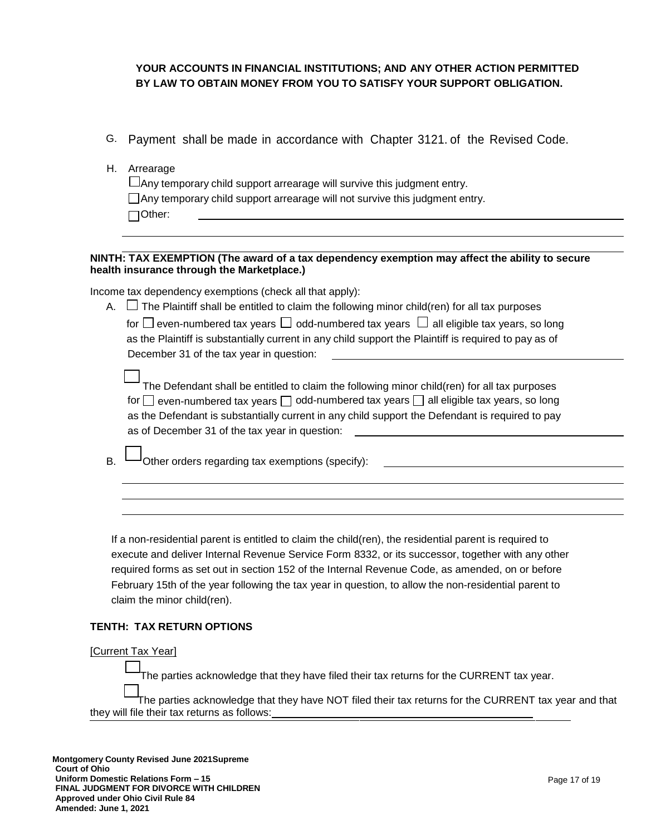# **YOUR ACCOUNTS IN FINANCIAL INSTITUTIONS; AND ANY OTHER ACTION PERMITTED BY LAW TO OBTAIN MONEY FROM YOU TO SATISFY YOUR SUPPORT OBLIGATION.**

- G. Payment shall be made in accordance with Chapter 3121. of the Revised Code.
- H. Arrearage  $\Box$  Any temporary child support arrearage will survive this judgment entry. Any temporary child support arrearage will not survive this judgment entry. Other:

### **NINTH: TAX EXEMPTION (The award of a tax dependency exemption may affect the ability to secure health insurance through the Marketplace.)**

Income tax dependency exemptions (check all that apply):

A.  $\Box$  The Plaintiff shall be entitled to claim the following minor child(ren) for all tax purposes for  $\square$  even-numbered tax years  $\square$  odd-numbered tax years  $\square$  all eligible tax years, so long as the Plaintiff is substantially current in any child support the Plaintiff is required to pay as of December 31 of the tax year in question:

| The Defendant shall be entitled to claim the following minor child(ren) for all tax purposes            |
|---------------------------------------------------------------------------------------------------------|
| for $\Box$ even-numbered tax years $\Box$ odd-numbered tax years $\Box$ all eligible tax years, so long |
| as the Defendant is substantially current in any child support the Defendant is required to pay         |
| as of December 31 of the tax year in question:                                                          |

Other orders regarding tax exemptions (specify):

If a non-residential parent is entitled to claim the child(ren), the residential parent is required to execute and deliver Internal Revenue Service Form 8332, or its successor, together with any other required forms as set out in section 152 of the Internal Revenue Code, as amended, on or before February 15th of the year following the tax year in question, to allow the non-residential parent to claim the minor child(ren).

### **TENTH: TAX RETURN OPTIONS**

### [Current Tax Year]

The parties acknowledge that they have filed their tax returns for the CURRENT tax year.

The parties acknowledge that they have NOT filed their tax returns for the CURRENT tax year and that they will file their tax returns as follows: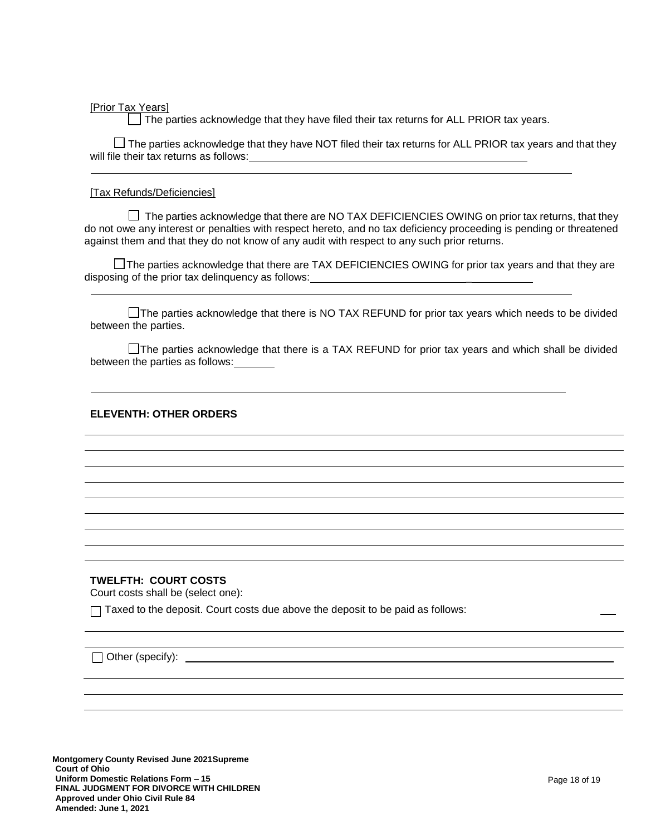[Prior Tax Years]

The parties acknowledge that they have filed their tax returns for ALL PRIOR tax years.

 $\Box$  The parties acknowledge that they have NOT filed their tax returns for ALL PRIOR tax years and that they will file their tax returns as follows:

#### [Tax Refunds/Deficiencies]

 $\Box$  The parties acknowledge that there are NO TAX DEFICIENCIES OWING on prior tax returns, that they do not owe any interest or penalties with respect hereto, and no tax deficiency proceeding is pending or threatened against them and that they do not know of any audit with respect to any such prior returns.

 $\Box$  The parties acknowledge that there are TAX DEFICIENCIES OWING for prior tax years and that they are disposing of the prior tax delinquency as follows: \_

□The parties acknowledge that there is NO TAX REFUND for prior tax years which needs to be divided between the parties.

 $\Box$  The parties acknowledge that there is a TAX REFUND for prior tax years and which shall be divided between the parties as follows:

### **ELEVENTH: OTHER ORDERS**

### **TWELFTH: COURT COSTS**

Court costs shall be (select one):

 $\Box$  Taxed to the deposit. Court costs due above the deposit to be paid as follows:

 $\Box$  Other (specify):